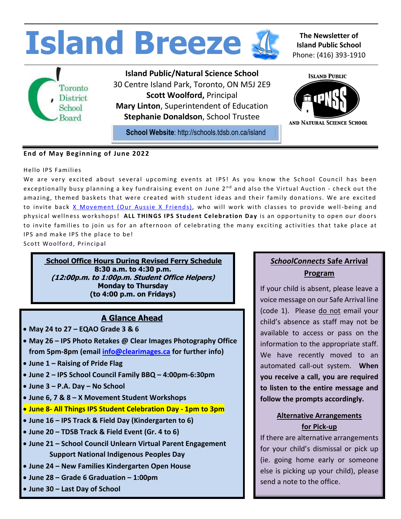

### **End of May Beginning of June 2022**

#### Hello IPS Families

We are very excited about several upcoming events at IPS! As you know the School Council has been exceptionally busy planning a key fundraising event on June  $2<sup>nd</sup>$  and also the Virtual Auction - check out the amazing, themed baskets that were created with student ideas and their family donations. We are excited to invite back X Movement (Our Aussie X Friends), who will work with classes to provide well-being and physical wellness workshops! ALL THINGS IPS Student Celebration Day is an opportunity to open our doors to invite families to join us for an afternoon of celebrating the many exciting activities that take place at IPS and make IPS the place to be!

Scott Woolford, Principal

**School Office Hours During Revised Ferry Schedule 8:30 a.m. to 4:30 p.m. (12:00p.m. to 1:00p.m. Student Office Helpers) Monday to Thursday (to 4:00 p.m. on Fridays)**

### **A Glance Ahead**

- **May 24 to 27 – EQAO Grade 3 & 6**
- **May 26 – IPS Photo Retakes @ Clear Images Photography Office from 5pm-8pm (email [info@clearimages.ca](mailto:info@clearimages.ca) for further info)**
- **June 1 – Raising of Pride Flag**
- **June 2 – IPS School Council Family BBQ – 4:00pm-6:30pm**
- **June 3 – P.A. Day – No School**
- **June 6, 7 & 8 – X Movement Student Workshops**
- **June 8- All Things IPS Student Celebration Day - 1pm to 3pm**
- **June 16 – IPS Track & Field Day (Kindergarten to 6)**
- **June 20 – TDSB Track & Field Event (Gr. 4 to 6)**
- **June 21 – School Council Unlearn Virtual Parent Engagement Support National Indigenous Peoples Day**
- **June 24 – New Families Kindergarten Open House**
- **June 28 – Grade 6 Graduation – 1:00pm**
- **June 30 – Last Day of School**

## *SchoolConnects* **Safe Arrival Program**

If your child is absent, please leave a voice message on our Safe Arrival line (code 1). Please do not email your child's absence as staff may not be available to access or pass on the information to the appropriate staff. We have recently moved to an automated call-out system. **When you receive a call, you are required to listen to the entire message and follow the prompts accordingly.**

### **Alternative Arrangements for Pick-up**

If there are alternative arrangements for your child's dismissal or pick up (ie. going home early or someone else is picking up your child), please send a note to the office.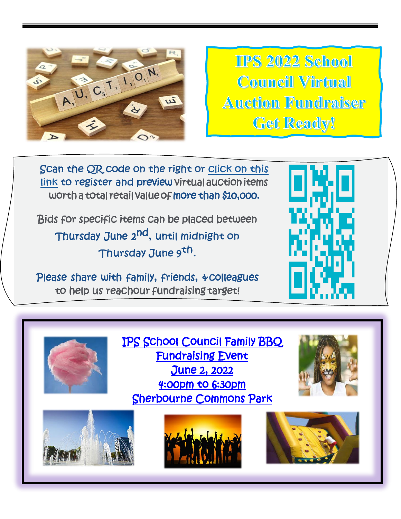

**IIPS 2022 School Council Virtual Auction Fundraiser Get Ready!** 

Scan the QR code on the right or click on this link to register and preview virtual auction items worth a total retail value of more than \$10,000.

Bids for specific items can be placed between Thursday June 2<sup>nd</sup>, un<del>c</del>il Thursday June 9th.

Please share with family, friends, &colleagues to help us reachour fundraising target!





[IPS School Council Family BBQ](IPS%20HOMECOMING%20EVENT%20JUNE%202%202022.pdf)  [Fundraising Event](IPS%20HOMECOMING%20EVENT%20JUNE%202%202022.pdf)  [June 2, 2022](IPS%20HOMECOMING%20EVENT%20JUNE%202%202022.pdf)  [4:00pm to 6:30pm](IPS%20HOMECOMING%20EVENT%20JUNE%202%202022.pdf)  [Sherbourne Commons Park](IPS%20HOMECOMING%20EVENT%20JUNE%202%202022.pdf) 







L